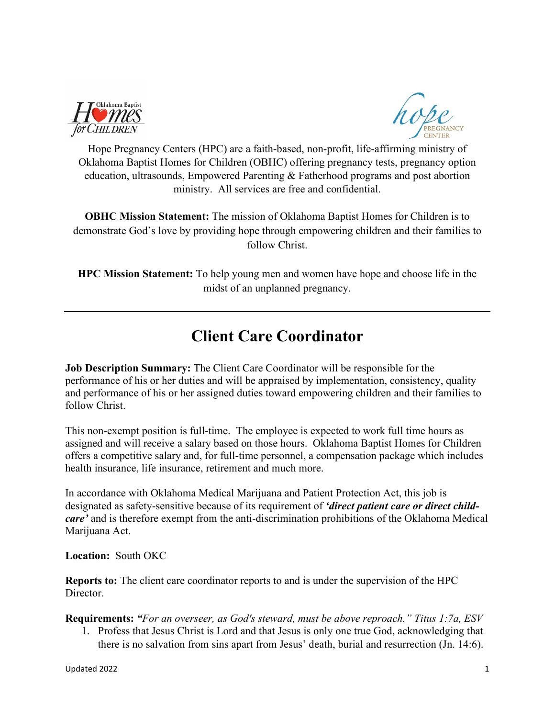

Hope Pregnancy Centers (HPC) are a faith-based, non-profit, life-affirming ministry of Oklahoma Baptist Homes for Children (OBHC) offering pregnancy tests, pregnancy option education, ultrasounds, Empowered Parenting & Fatherhood programs and post abortion ministry. All services are free and confidential.

**OBHC Mission Statement:** The mission of Oklahoma Baptist Homes for Children is to demonstrate God's love by providing hope through empowering children and their families to follow Christ.

**HPC Mission Statement:** To help young men and women have hope and choose life in the midst of an unplanned pregnancy.

## **Client Care Coordinator**

**Job Description Summary:** The Client Care Coordinator will be responsible for the performance of his or her duties and will be appraised by implementation, consistency, quality and performance of his or her assigned duties toward empowering children and their families to follow Christ.

This non-exempt position is full-time. The employee is expected to work full time hours as assigned and will receive a salary based on those hours. Oklahoma Baptist Homes for Children offers a competitive salary and, for full-time personnel, a compensation package which includes health insurance, life insurance, retirement and much more.

In accordance with Oklahoma Medical Marijuana and Patient Protection Act, this job is designated as safety-sensitive because of its requirement of *'direct patient care or direct childcare'* and is therefore exempt from the anti-discrimination prohibitions of the Oklahoma Medical Marijuana Act.

**Location:** South OKC

**Reports to:** The client care coordinator reports to and is under the supervision of the HPC Director.

**Requirements:** *"For an overseer, as God's steward, must be above reproach." Titus 1:7a, ESV* 

1. Profess that Jesus Christ is Lord and that Jesus is only one true God, acknowledging that there is no salvation from sins apart from Jesus' death, burial and resurrection (Jn. 14:6).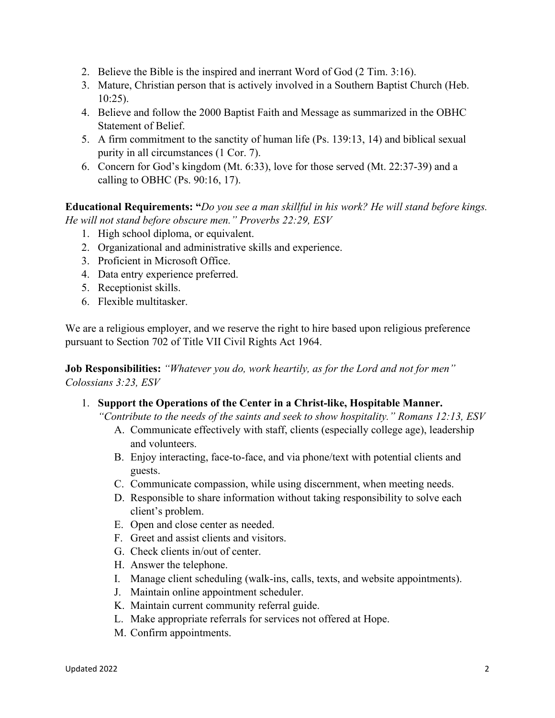- 2. Believe the Bible is the inspired and inerrant Word of God (2 Tim. 3:16).
- 3. Mature, Christian person that is actively involved in a Southern Baptist Church (Heb. 10:25).
- 4. Believe and follow the 2000 Baptist Faith and Message as summarized in the OBHC Statement of Belief.
- 5. A firm commitment to the sanctity of human life (Ps. 139:13, 14) and biblical sexual purity in all circumstances (1 Cor. 7).
- 6. Concern for God's kingdom (Mt. 6:33), love for those served (Mt. 22:37-39) and a calling to OBHC (Ps.  $90:16$ , 17).

**Educational Requirements: "***Do you see a man skillful in his work? He will stand before kings. He will not stand before obscure men." Proverbs 22:29, ESV*

- 1. High school diploma, or equivalent.
- 2. Organizational and administrative skills and experience.
- 3. Proficient in Microsoft Office.
- 4. Data entry experience preferred.
- 5. Receptionist skills.
- 6. Flexible multitasker.

We are a religious employer, and we reserve the right to hire based upon religious preference pursuant to Section 702 of Title VII Civil Rights Act 1964.

**Job Responsibilities:** *"Whatever you do, work heartily, as for the Lord and not for men" Colossians 3:23, ESV*

1. **Support the Operations of the Center in a Christ-like, Hospitable Manner.**

*"Contribute to the needs of the saints and seek to show hospitality." Romans 12:13, ESV*

- A. Communicate effectively with staff, clients (especially college age), leadership and volunteers.
- B. Enjoy interacting, face-to-face, and via phone/text with potential clients and guests.
- C. Communicate compassion, while using discernment, when meeting needs.
- D. Responsible to share information without taking responsibility to solve each client's problem.
- E. Open and close center as needed.
- F. Greet and assist clients and visitors.
- G. Check clients in/out of center.
- H. Answer the telephone.
- I. Manage client scheduling (walk-ins, calls, texts, and website appointments).
- J. Maintain online appointment scheduler.
- K. Maintain current community referral guide.
- L. Make appropriate referrals for services not offered at Hope.
- M. Confirm appointments.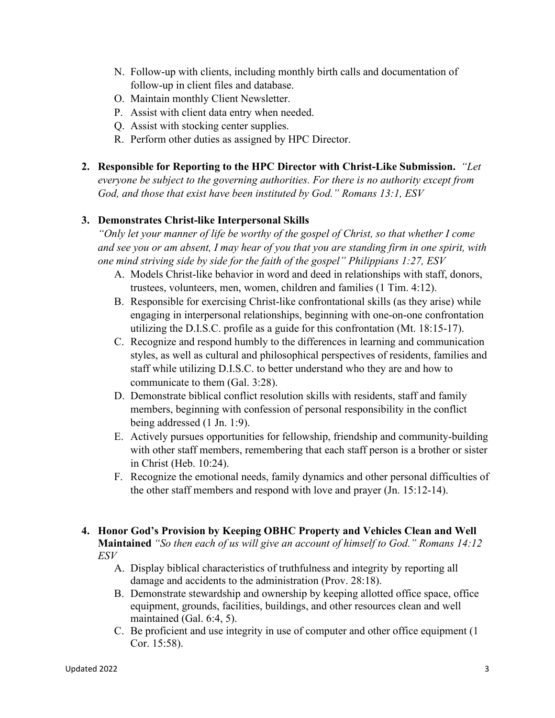- N. Follow-up with clients, including monthly birth calls and documentation of follow-up in client files and database.
- O. Maintain monthly Client Newsletter.
- P. Assist with client data entry when needed.
- Q. Assist with stocking center supplies.
- R. Perform other duties as assigned by HPC Director.
- **2. Responsible for Reporting to the HPC Director with Christ-Like Submission.** *"Let everyone be subject to the governing authorities. For there is no authority except from God, and those that exist have been instituted by God." Romans 13:1, ESV*

## **3. Demonstrates Christ-like Interpersonal Skills**

*"Only let your manner of life be worthy of the gospel of Christ, so that whether I come and see you or am absent, I may hear of you that you are standing firm in one spirit, with one mind striving side by side for the faith of the gospel" Philippians 1:27, ESV*

- A. Models Christ-like behavior in word and deed in relationships with staff, donors, trustees, volunteers, men, women, children and families (1 Tim. 4:12).
- B. Responsible for exercising Christ-like confrontational skills (as they arise) while engaging in interpersonal relationships, beginning with one-on-one confrontation utilizing the D.I.S.C. profile as a guide for this confrontation (Mt. 18:15-17).
- C. Recognize and respond humbly to the differences in learning and communication styles, as well as cultural and philosophical perspectives of residents, families and staff while utilizing D.I.S.C. to better understand who they are and how to communicate to them (Gal. 3:28).
- D. Demonstrate biblical conflict resolution skills with residents, staff and family members, beginning with confession of personal responsibility in the conflict being addressed (1 Jn. 1:9).
- E. Actively pursues opportunities for fellowship, friendship and community-building with other staff members, remembering that each staff person is a brother or sister in Christ (Heb. 10:24).
- F. Recognize the emotional needs, family dynamics and other personal difficulties of the other staff members and respond with love and prayer (Jn. 15:12-14).
- **4. Honor God's Provision by Keeping OBHC Property and Vehicles Clean and Well Maintained** *"So then each of us will give an account of himself to God." Romans 14:12 ESV*
	- A. Display biblical characteristics of truthfulness and integrity by reporting all damage and accidents to the administration (Prov. 28:18).
	- B. Demonstrate stewardship and ownership by keeping allotted office space, office equipment, grounds, facilities, buildings, and other resources clean and well maintained (Gal. 6:4, 5).
	- C. Be proficient and use integrity in use of computer and other office equipment (1 Cor. 15:58).